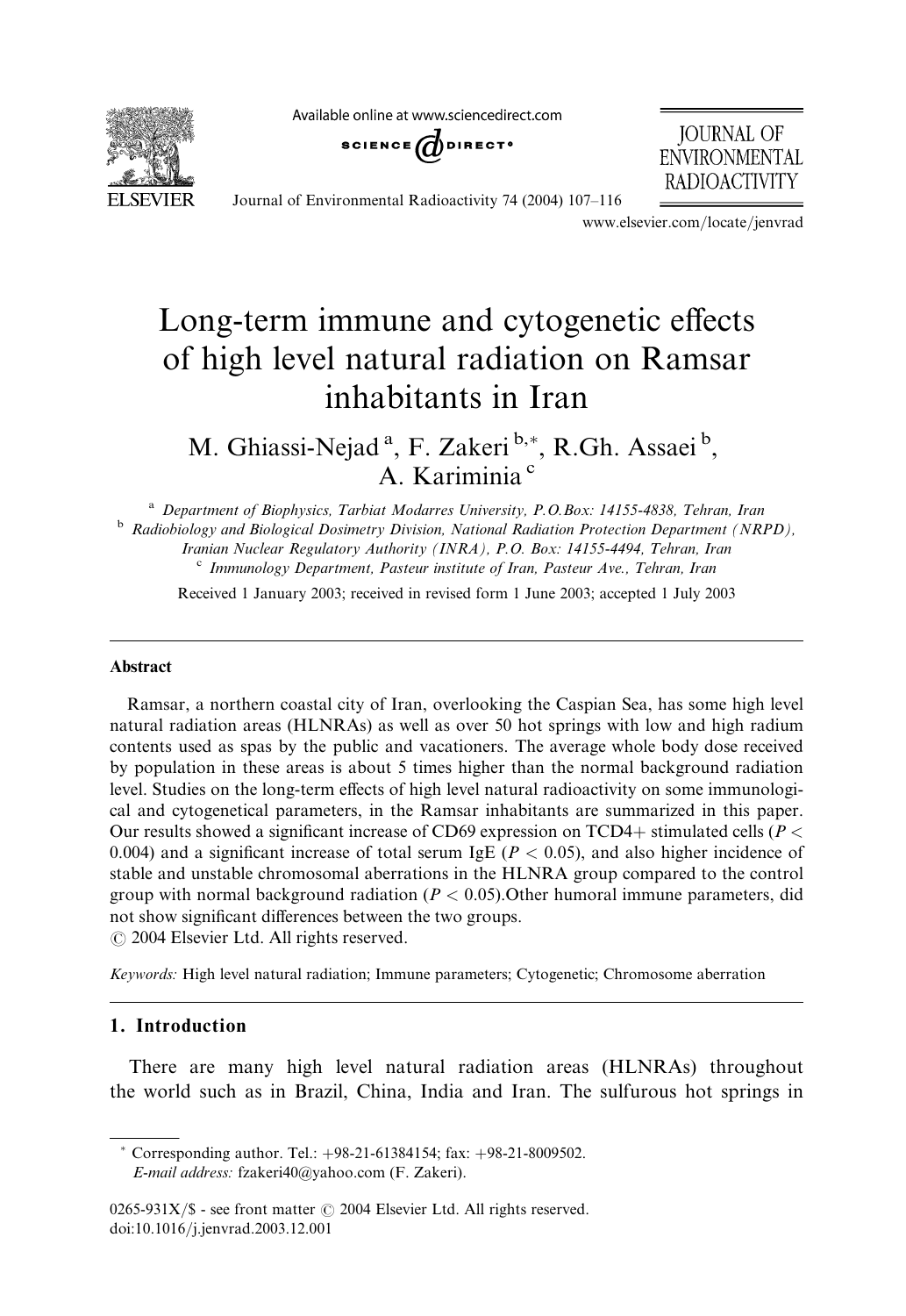Available online at www.sciencedirect.com



SCIENCE  $\omega$  direct<sup>o</sup>

**JOURNAL OF ENVIRONMENTAL RADIOACTIVITY** 

Journal of Environmental Radioactivity 74 (2004) 107–116

www.elsevier.com/locate/jenvrad

# Long-term immune and cytogenetic effects of high level natural radiation on Ramsar inhabitants in Iran

M. Ghiassi-Nejad<sup>a</sup>, F. Zakeri b,\*, R.Gh. Assaei b, A. Kariminia<sup>c</sup>

<sup>a</sup> Department of Biophysics, Tarbiat Modarres University, P.O.Box: 14155-4838, Tehran, Iran b Radiobiology and Biological Dosimetry Division, National Radiation Protection Department (NRPD), Iranian Nuclear Regulatory Authority (INRA), P.O. Box: 14155-4494, Tehran, Iran c Immunology Department, Pasteur institute of Iran, Pasteur Ave., Tehran, Iran

Received 1 January 2003; received in revised form 1 June 2003; accepted 1 July 2003

#### Abstract

Ramsar, a northern coastal city of Iran, overlooking the Caspian Sea, has some high level natural radiation areas (HLNRAs) as well as over 50 hot springs with low and high radium contents used as spas by the public and vacationers. The average whole body dose received by population in these areas is about 5 times higher than the normal background radiation level. Studies on the long-term effects of high level natural radioactivity on some immunological and cytogenetical parameters, in the Ramsar inhabitants are summarized in this paper. Our results showed a significant increase of CD69 expression on TCD4+ stimulated cells ( $P \leq$ 0.004) and a significant increase of total serum IgE ( $P < 0.05$ ), and also higher incidence of stable and unstable chromosomal aberrations in the HLNRA group compared to the control group with normal background radiation ( $P < 0.05$ ). Other humoral immune parameters, did not show significant differences between the two groups.  $\odot$  2004 Elsevier Ltd. All rights reserved.

Keywords: High level natural radiation; Immune parameters; Cytogenetic; Chromosome aberration

# 1. Introduction

There are many high level natural radiation areas (HLNRAs) throughout the world such as in Brazil, China, India and Iran. The sulfurous hot springs in

 $*$  Corresponding author. Tel.:  $+98-21-61384154$ ; fax:  $+98-21-8009502$ . E-mail address: fzakeri40@yahoo.com (F. Zakeri).

 $0265-931X/\$  - see front matter  $\odot$  2004 Elsevier Ltd. All rights reserved. doi:10.1016/j.jenvrad.2003.12.001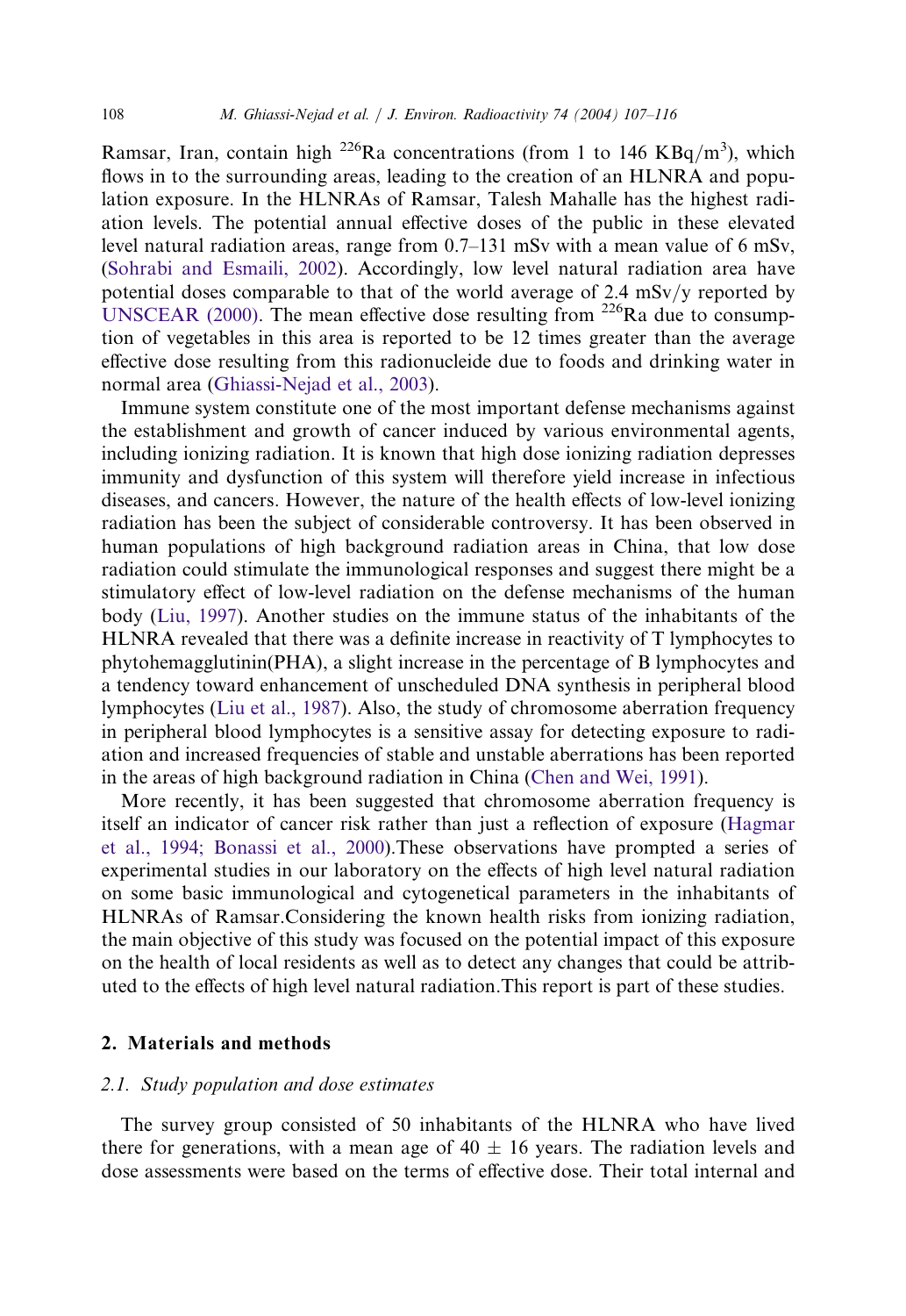Ramsar, Iran, contain high  $^{226}$ Ra concentrations (from 1 to 146 KBq/m<sup>3</sup>), which flows in to the surrounding areas, leading to the creation of an HLNRA and population exposure. In the HLNRAs of Ramsar, Talesh Mahalle has the highest radiation levels. The potential annual effective doses of the public in these elevated level natural radiation areas, range from 0.7–131 mSv with a mean value of 6 mSv, ([Sohrabi and Esmaili, 2002](#page-9-0)). Accordingly, low level natural radiation area have potential doses comparable to that of the world average of 2.4 mSv/y reported by [UNSCEAR \(2000\).](#page-9-0) The mean effective dose resulting from <sup>226</sup>Ra due to consumption of vegetables in this area is reported to be 12 times greater than the average effective dose resulting from this radionucleide due to foods and drinking water in normal area ([Ghiassi-Nejad et al., 2003](#page-8-0)).

Immune system constitute one of the most important defense mechanisms against the establishment and growth of cancer induced by various environmental agents, including ionizing radiation. It is known that high dose ionizing radiation depresses immunity and dysfunction of this system will therefore yield increase in infectious diseases, and cancers. However, the nature of the health effects of low-level ionizing radiation has been the subject of considerable controversy. It has been observed in human populations of high background radiation areas in China, that low dose radiation could stimulate the immunological responses and suggest there might be a stimulatory effect of low-level radiation on the defense mechanisms of the human body [\(Liu, 1997](#page-9-0)). Another studies on the immune status of the inhabitants of the HLNRA revealed that there was a definite increase in reactivity of T lymphocytes to phytohemagglutinin(PHA), a slight increase in the percentage of B lymphocytes and a tendency toward enhancement of unscheduled DNA synthesis in peripheral blood lymphocytes ([Liu et al., 1987](#page-9-0)). Also, the study of chromosome aberration frequency in peripheral blood lymphocytes is a sensitive assay for detecting exposure to radiation and increased frequencies of stable and unstable aberrations has been reported in the areas of high background radiation in China [\(Chen and Wei, 1991](#page-8-0)).

More recently, it has been suggested that chromosome aberration frequency is itself an indicator of cancer risk rather than just a reflection of exposure ([Hagmar](#page-8-0) [et al., 1994; Bonassi et al., 2000\)](#page-8-0).These observations have prompted a series of experimental studies in our laboratory on the effects of high level natural radiation on some basic immunological and cytogenetical parameters in the inhabitants of HLNRAs of Ramsar.Considering the known health risks from ionizing radiation, the main objective of this study was focused on the potential impact of this exposure on the health of local residents as well as to detect any changes that could be attributed to the effects of high level natural radiation.This report is part of these studies.

# 2. Materials and methods

# 2.1. Study population and dose estimates

The survey group consisted of 50 inhabitants of the HLNRA who have lived there for generations, with a mean age of  $40 \pm 16$  years. The radiation levels and dose assessments were based on the terms of effective dose. Their total internal and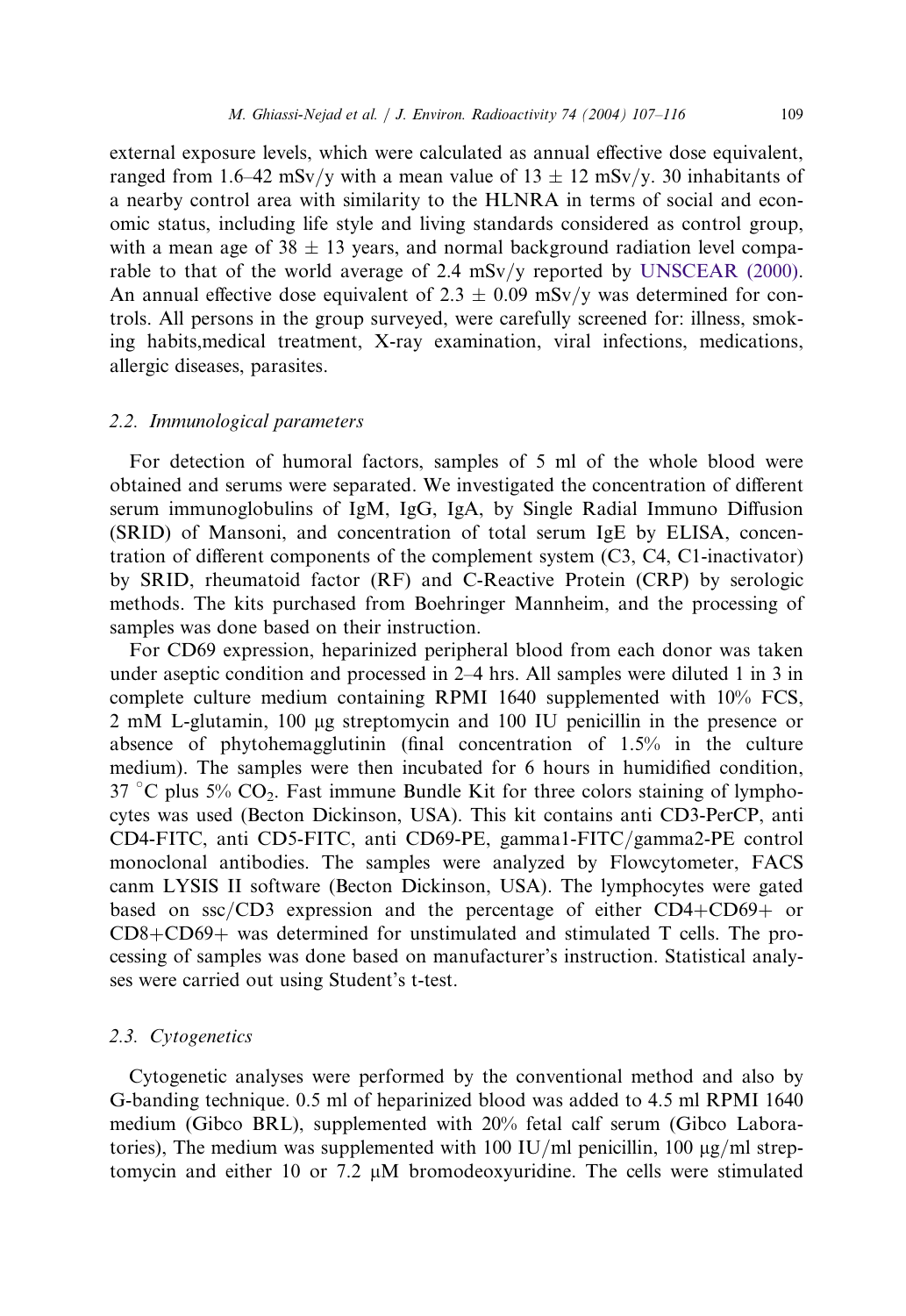external exposure levels, which were calculated as annual effective dose equivalent, ranged from 1.6–42 mSv/y with a mean value of  $13 \pm 12$  mSv/y. 30 inhabitants of a nearby control area with similarity to the HLNRA in terms of social and economic status, including life style and living standards considered as control group, with a mean age of  $38 \pm 13$  years, and normal background radiation level comparable to that of the world average of 2.4 mSv/y reported by [UNSCEAR \(2000\).](#page-9-0) An annual effective dose equivalent of 2.3  $\pm$  0.09 mSv/y was determined for controls. All persons in the group surveyed, were carefully screened for: illness, smoking habits,medical treatment, X-ray examination, viral infections, medications, allergic diseases, parasites.

#### 2.2. Immunological parameters

For detection of humoral factors, samples of 5 ml of the whole blood were obtained and serums were separated. We investigated the concentration of different serum immunoglobulins of IgM, IgG, IgA, by Single Radial Immuno Diffusion (SRID) of Mansoni, and concentration of total serum IgE by ELISA, concentration of different components of the complement system (C3, C4, C1-inactivator) by SRID, rheumatoid factor (RF) and C-Reactive Protein (CRP) by serologic methods. The kits purchased from Boehringer Mannheim, and the processing of samples was done based on their instruction.

For CD69 expression, heparinized peripheral blood from each donor was taken under aseptic condition and processed in 2–4 hrs. All samples were diluted 1 in 3 in complete culture medium containing RPMI 1640 supplemented with 10% FCS, 2 mM L-glutamin, 100 µg streptomycin and 100 IU penicillin in the presence or absence of phytohemagglutinin (final concentration of 1.5% in the culture medium). The samples were then incubated for 6 hours in humidified condition, 37 °C plus 5%  $CO_2$ . Fast immune Bundle Kit for three colors staining of lymphocytes was used (Becton Dickinson, USA). This kit contains anti CD3-PerCP, anti CD4-FITC, anti CD5-FITC, anti CD69-PE, gamma1-FITC/gamma2-PE control monoclonal antibodies. The samples were analyzed by Flowcytometer, FACS canm LYSIS II software (Becton Dickinson, USA). The lymphocytes were gated based on ssc/CD3 expression and the percentage of either CD4+CD69+ or CD8+CD69+ was determined for unstimulated and stimulated T cells. The processing of samples was done based on manufacturer's instruction. Statistical analyses were carried out using Student's t-test.

#### 2.3. Cytogenetics

Cytogenetic analyses were performed by the conventional method and also by G-banding technique. 0.5 ml of heparinized blood was added to 4.5 ml RPMI 1640 medium (Gibco BRL), supplemented with 20% fetal calf serum (Gibco Laboratories), The medium was supplemented with 100 IU/ml penicillin, 100  $\mu$ g/ml streptomycin and either 10 or 7.2  $\mu$ M bromodeoxyuridine. The cells were stimulated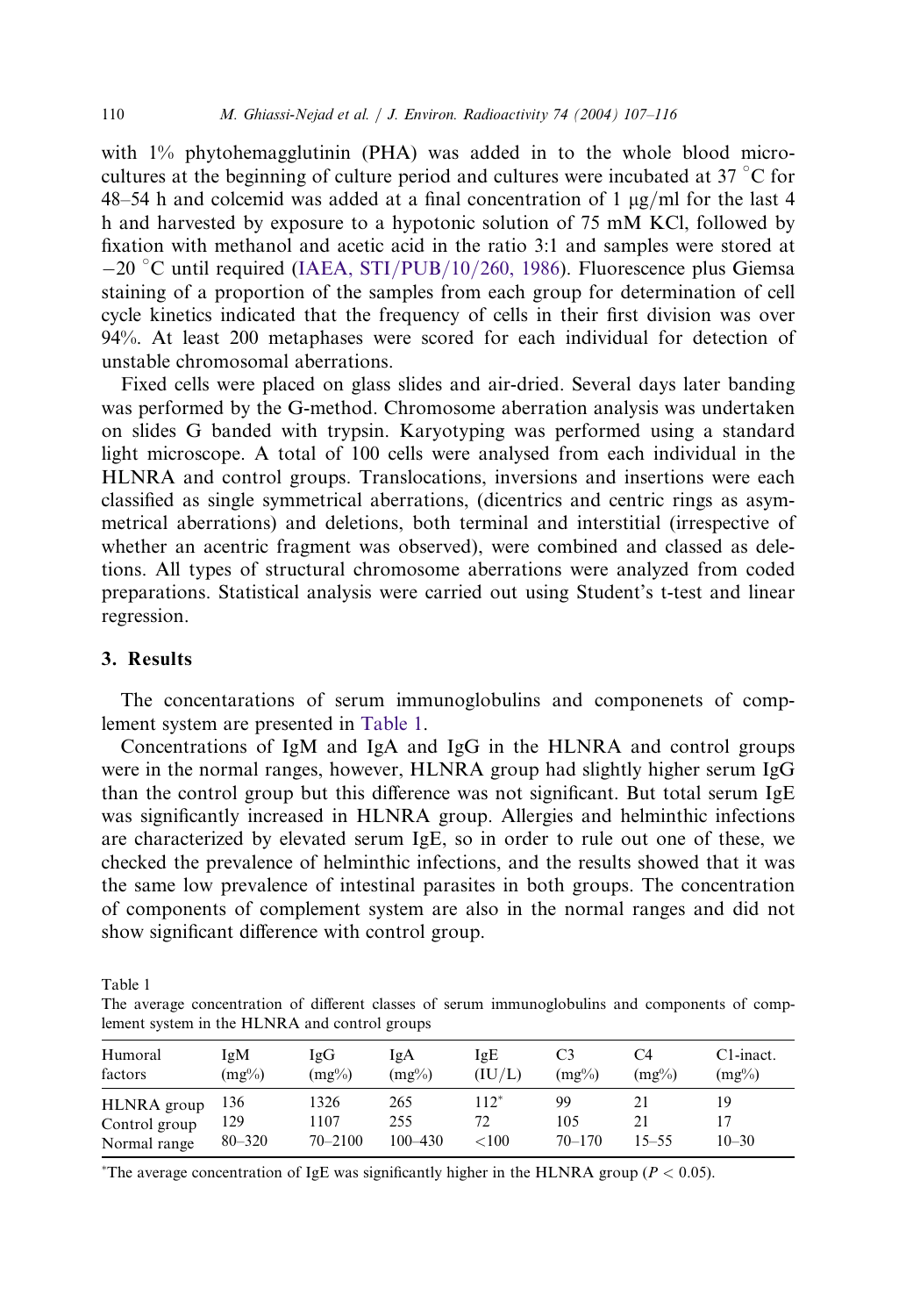with 1% phytohemagglutinin (PHA) was added in to the whole blood microcultures at the beginning of culture period and cultures were incubated at 37  $\degree$ C for 48–54 h and colcemid was added at a final concentration of 1  $\mu$ g/ml for the last 4 h and harvested by exposure to a hypotonic solution of 75 mM KCl, followed by fixation with methanol and acetic acid in the ratio 3:1 and samples were stored at -20 °C until required [\(IAEA, STI/PUB/10/260, 1986](#page-9-0)). Fluorescence plus Giemsa staining of a proportion of the samples from each group for determination of cell cycle kinetics indicated that the frequency of cells in their first division was over 94%. At least 200 metaphases were scored for each individual for detection of unstable chromosomal aberrations.

Fixed cells were placed on glass slides and air-dried. Several days later banding was performed by the G-method. Chromosome aberration analysis was undertaken on slides G banded with trypsin. Karyotyping was performed using a standard light microscope. A total of 100 cells were analysed from each individual in the HLNRA and control groups. Translocations, inversions and insertions were each classified as single symmetrical aberrations, (dicentrics and centric rings as asymmetrical aberrations) and deletions, both terminal and interstitial (irrespective of whether an acentric fragment was observed), were combined and classed as deletions. All types of structural chromosome aberrations were analyzed from coded preparations. Statistical analysis were carried out using Student's t-test and linear regression.

# 3. Results

The concentarations of serum immunoglobulins and componenets of complement system are presented in [Table 1.](#page-3-0)

Concentrations of IgM and IgA and IgG in the HLNRA and control groups were in the normal ranges, however, HLNRA group had slightly higher serum IgG than the control group but this difference was not significant. But total serum IgE was significantly increased in HLNRA group. Allergies and helminthic infections are characterized by elevated serum IgE, so in order to rule out one of these, we checked the prevalence of helminthic infections, and the results showed that it was the same low prevalence of intestinal parasites in both groups. The concentration of components of complement system are also in the normal ranges and did not show significant difference with control group.

Table 1

The average concentration of different classes of serum immunoglobulins and components of complement system in the HLNRA and control groups

| Humoral<br>factors                           | IgM<br>$(mg\%)$          | IgG<br>$(mg\%)$             | IgA<br>$(mg\%)$           | IgE<br>(IU/L)            | C3<br>$(mg\%)$          | C4<br>$(mg\%)$ | C1-inact.<br>$(mg\%)$ |
|----------------------------------------------|--------------------------|-----------------------------|---------------------------|--------------------------|-------------------------|----------------|-----------------------|
| HLNRA group<br>Control group<br>Normal range | 136<br>129<br>$80 - 320$ | 1326<br>1107<br>$70 - 2100$ | 265<br>255<br>$100 - 430$ | $112*$<br>72<br>${<}100$ | 99<br>105<br>$70 - 170$ | 21<br>15–55    | 19<br>$10 - 30$       |

<span id="page-3-0"></span>\*The average concentration of IgE was significantly higher in the HLNRA group ( $P < 0.05$ ).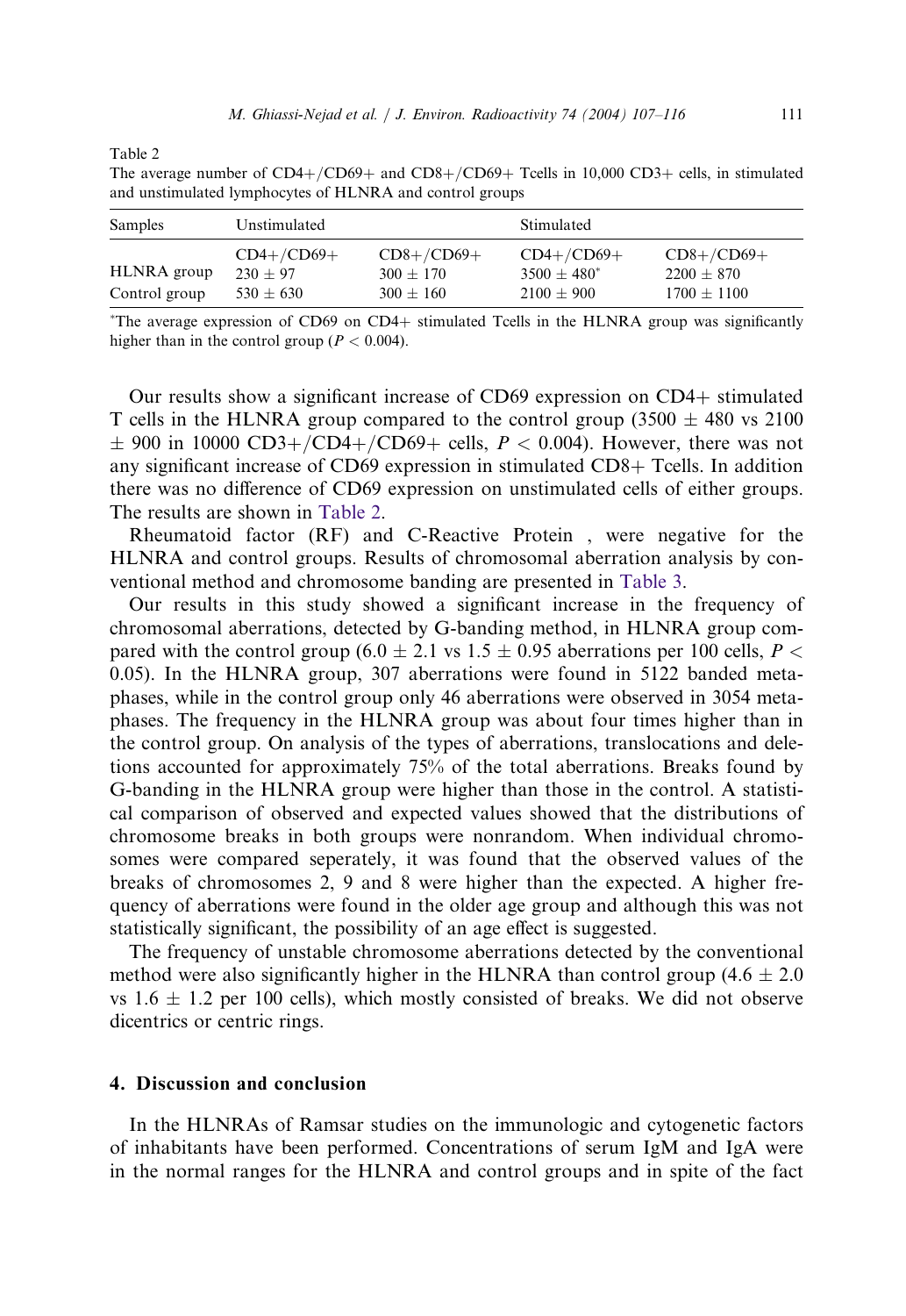Table 2

The average number of CD4+/CD69+ and CD8+/CD69+ Tcells in 10,000 CD3+ cells, in stimulated and unstimulated lymphocytes of HLNRA and control groups

| Samples                      | Unstimulated                              |                                                | Stimulated                                     |                                                 |  |  |
|------------------------------|-------------------------------------------|------------------------------------------------|------------------------------------------------|-------------------------------------------------|--|--|
| HLNRA group<br>Control group | $CD4+/CD69+$<br>$230 + 97$<br>$530 + 630$ | $CD8+/CD69+$<br>$300 \pm 170$<br>$300 \pm 160$ | $CD4+/CD69+$<br>$3500 + 480^*$<br>$2100 + 900$ | $CD8+/CD69+$<br>$2200 \pm 870$<br>$1700 + 1100$ |  |  |

! The average expression of CD69 on CD4+ stimulated Tcells in the HLNRA group was significantly higher than in the control group ( $P < 0.004$ ).

Our results show a significant increase of CD69 expression on CD4+ stimulated T cells in the HLNRA group compared to the control group (3500  $\pm$  480 vs 2100  $\pm$  900 in 10000 CD3+/CD4+/CD69+ cells,  $P < 0.004$ ). However, there was not any significant increase of CD69 expression in stimulated CD8+ Tcells. In addition there was no difference of CD69 expression on unstimulated cells of either groups. The results are shown in [Table 2.](#page-4-0)

Rheumatoid factor (RF) and C-Reactive Protein , were negative for the HLNRA and control groups. Results of chromosomal aberration analysis by conventional method and chromosome banding are presented in [Table 3.](#page-5-0)

Our results in this study showed a significant increase in the frequency of chromosomal aberrations, detected by G-banding method, in HLNRA group compared with the control group (6.0  $\pm$  2.1 vs 1.5  $\pm$  0.95 aberrations per 100 cells, P < 0.05). In the HLNRA group, 307 aberrations were found in 5122 banded metaphases, while in the control group only 46 aberrations were observed in 3054 metaphases. The frequency in the HLNRA group was about four times higher than in the control group. On analysis of the types of aberrations, translocations and deletions accounted for approximately 75% of the total aberrations. Breaks found by G-banding in the HLNRA group were higher than those in the control. A statistical comparison of observed and expected values showed that the distributions of chromosome breaks in both groups were nonrandom. When individual chromosomes were compared seperately, it was found that the observed values of the breaks of chromosomes 2, 9 and 8 were higher than the expected. A higher frequency of aberrations were found in the older age group and although this was not statistically significant, the possibility of an age effect is suggested.

The frequency of unstable chromosome aberrations detected by the conventional method were also significantly higher in the HLNRA than control group (4.6  $\pm$  2.0) vs  $1.6 \pm 1.2$  per 100 cells), which mostly consisted of breaks. We did not observe dicentrics or centric rings.

# 4. Discussion and conclusion

<span id="page-4-0"></span>In the HLNRAs of Ramsar studies on the immunologic and cytogenetic factors of inhabitants have been performed. Concentrations of serum IgM and IgA were in the normal ranges for the HLNRA and control groups and in spite of the fact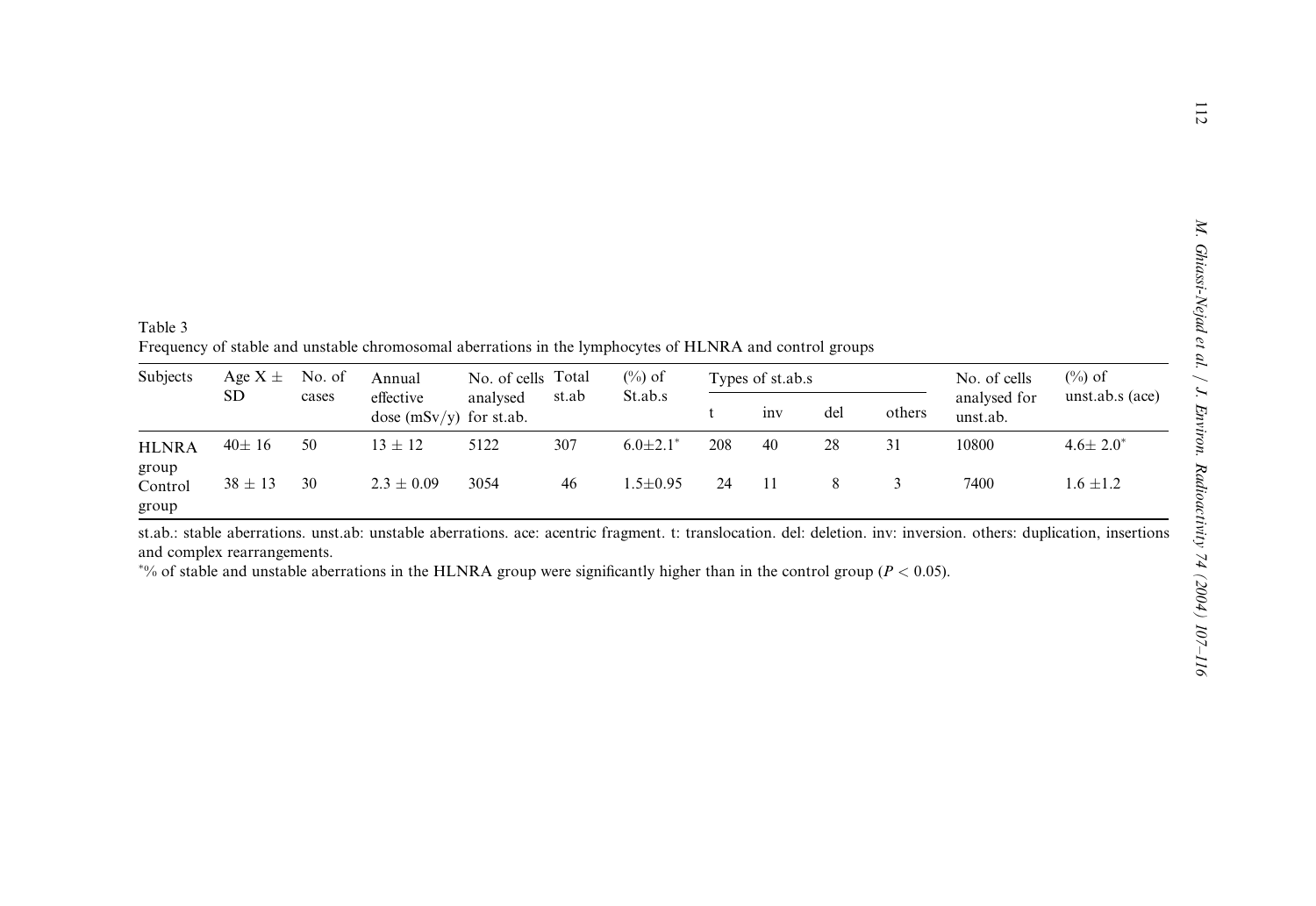Table 3 Frequency of stable and unstable chromosomal aberrations in the lymphocytes of HLNRA and control groups

| Subjects                  | Age $X \pm$<br>SD. | No. of<br>cases | Annual<br>effective<br>dose $(mSv/v)$ for st.ab. | No. of cells Total<br>analysed | st.ab | $(\%)$ of<br>St.ab.s | Types of st.ab.s |                 |     |        | No. of cells             | $(\%)$ of         |
|---------------------------|--------------------|-----------------|--------------------------------------------------|--------------------------------|-------|----------------------|------------------|-----------------|-----|--------|--------------------------|-------------------|
|                           |                    |                 |                                                  |                                |       |                      |                  | 1n <sub>V</sub> | del | others | analysed for<br>unst.ab. | unst.ab.s $(ace)$ |
| <b>HLNRA</b>              | $40 \pm 16$        | 50              | $13 \pm 12$                                      | 5122                           | 307   | $6.0 \pm 2.1^*$      | 208              | 40              | 28  | 31     | 10800                    | $4.6 \pm 2.0^*$   |
| group<br>Control<br>group | $38 \pm 13$        | 30              | $2.3 \pm 0.09$                                   | 3054                           | 46    | $1.5 + 0.95$         | 24               |                 |     |        | 7400                     | $1.6 \pm 1.2$     |

st.ab.: stable aberrations. unst.ab: unstable aberrations. ace: acentric fragment. t: translocation. del: deletion. inv: inversion. others: duplication, insertions and complex rearrangements.

<span id="page-5-0"></span> $\gamma$ % of stable and unstable aberrations in the HLNRA group were significantly higher than in the control group ( $P < 0.05$ ).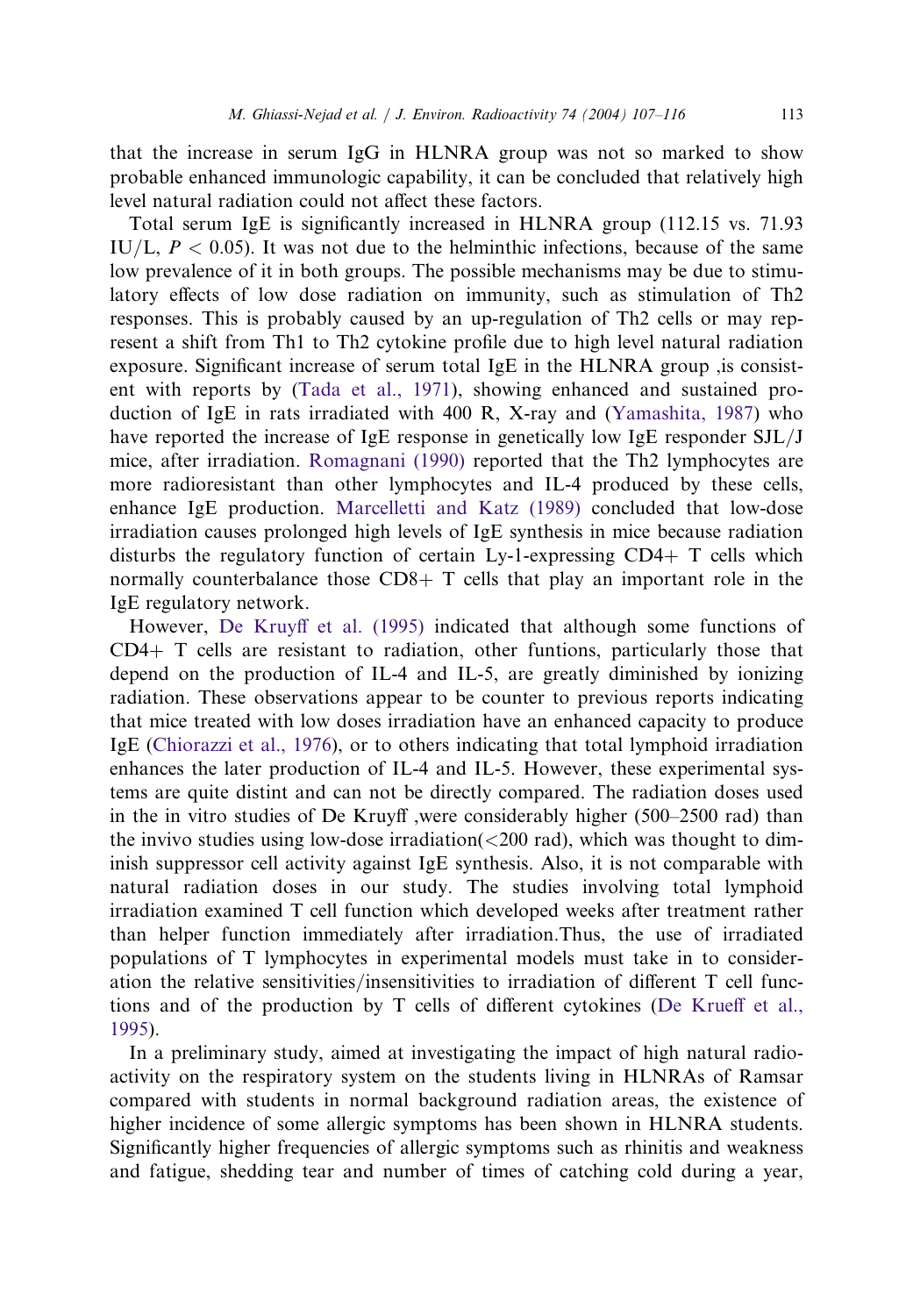that the increase in serum IgG in HLNRA group was not so marked to show probable enhanced immunologic capability, it can be concluded that relatively high level natural radiation could not affect these factors.

Total serum IgE is significantly increased in HLNRA group (112.15 vs. 71.93 IU/L,  $P < 0.05$ ). It was not due to the helminthic infections, because of the same low prevalence of it in both groups. The possible mechanisms may be due to stimulatory effects of low dose radiation on immunity, such as stimulation of Th2 responses. This is probably caused by an up-regulation of Th2 cells or may represent a shift from Th1 to Th2 cytokine profile due to high level natural radiation exposure. Significant increase of serum total IgE in the HLNRA group ,is consistent with reports by [\(Tada et al., 1971](#page-9-0)), showing enhanced and sustained production of IgE in rats irradiated with 400 R, X-ray and [\(Yamashita, 1987](#page-9-0)) who have reported the increase of IgE response in genetically low IgE responder SJL/J mice, after irradiation. [Romagnani \(1990\)](#page-9-0) reported that the Th2 lymphocytes are more radioresistant than other lymphocytes and IL-4 produced by these cells, enhance IgE production. [Marcelletti and Katz \(1989\)](#page-9-0) concluded that low-dose irradiation causes prolonged high levels of IgE synthesis in mice because radiation disturbs the regulatory function of certain Ly-1-expressing CD4+ T cells which normally counterbalance those  $CD8+T$  cells that play an important role in the IgE regulatory network.

However, De Kruyff [et al. \(1995\)](#page-8-0) indicated that although some functions of CD4+ T cells are resistant to radiation, other funtions, particularly those that depend on the production of IL-4 and IL-5, are greatly diminished by ionizing radiation. These observations appear to be counter to previous reports indicating that mice treated with low doses irradiation have an enhanced capacity to produce IgE ([Chiorazzi et al., 1976](#page-8-0)), or to others indicating that total lymphoid irradiation enhances the later production of IL-4 and IL-5. However, these experimental systems are quite distint and can not be directly compared. The radiation doses used in the in vitro studies of De Kruyff ,were considerably higher (500–2500 rad) than the invivo studies using low-dose irradiation(<200 rad), which was thought to diminish suppressor cell activity against IgE synthesis. Also, it is not comparable with natural radiation doses in our study. The studies involving total lymphoid irradiation examined T cell function which developed weeks after treatment rather than helper function immediately after irradiation.Thus, the use of irradiated populations of T lymphocytes in experimental models must take in to consideration the relative sensitivities/insensitivities to irradiation of different T cell functions and of the production by T cells of different cytokines ([De Krue](#page-8-0)ff et al., [1995\)](#page-8-0).

In a preliminary study, aimed at investigating the impact of high natural radioactivity on the respiratory system on the students living in HLNRAs of Ramsar compared with students in normal background radiation areas, the existence of higher incidence of some allergic symptoms has been shown in HLNRA students. Significantly higher frequencies of allergic symptoms such as rhinitis and weakness and fatigue, shedding tear and number of times of catching cold during a year,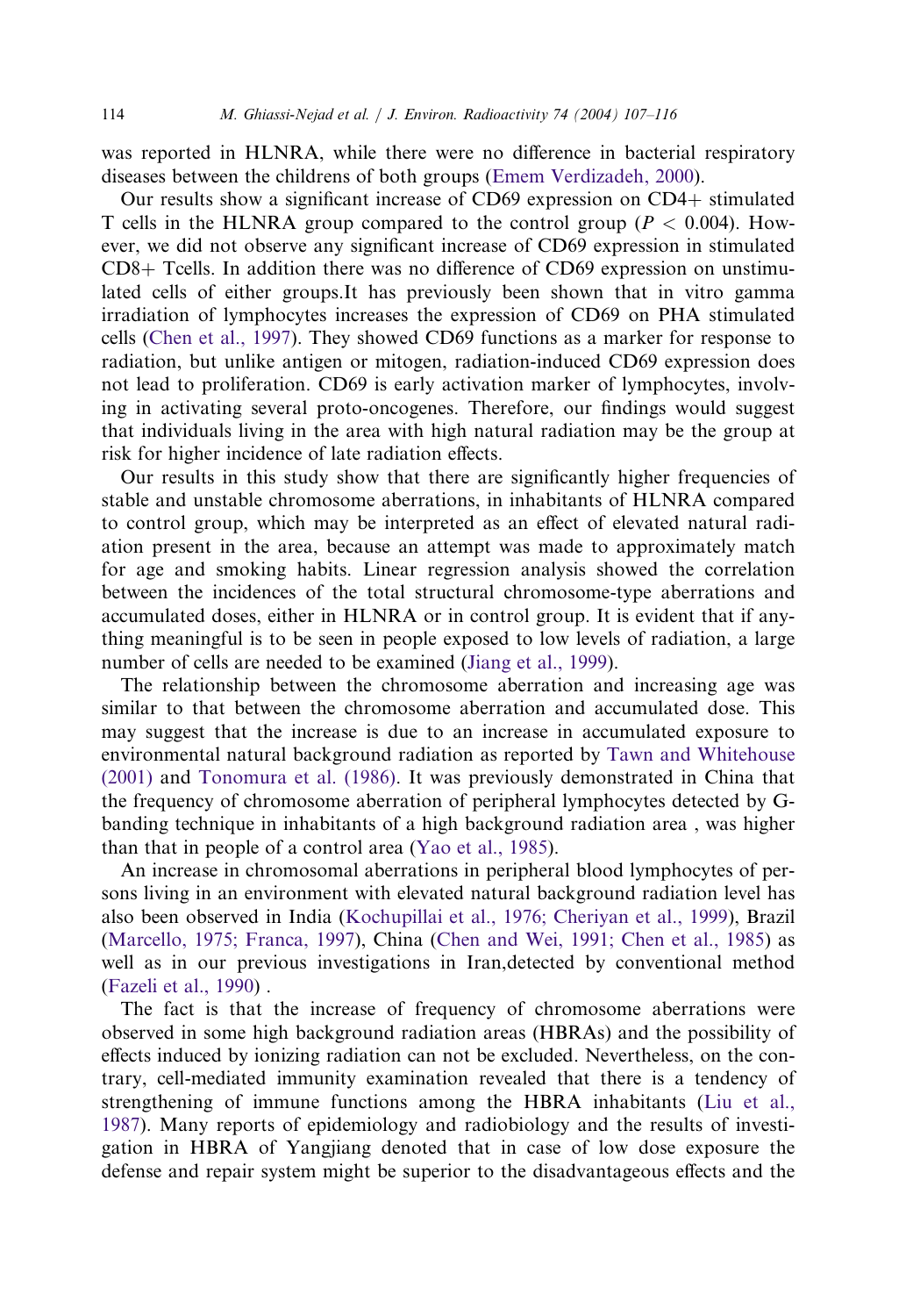was reported in HLNRA, while there were no difference in bacterial respiratory diseases between the childrens of both groups [\(Emem Verdizadeh, 2000\)](#page-8-0).

Our results show a significant increase of CD69 expression on CD4+ stimulated T cells in the HLNRA group compared to the control group ( $P < 0.004$ ). However, we did not observe any significant increase of CD69 expression in stimulated CD8+ Tcells. In addition there was no difference of CD69 expression on unstimulated cells of either groups.It has previously been shown that in vitro gamma irradiation of lymphocytes increases the expression of CD69 on PHA stimulated cells [\(Chen et al., 1997](#page-8-0)). They showed CD69 functions as a marker for response to radiation, but unlike antigen or mitogen, radiation-induced CD69 expression does not lead to proliferation. CD69 is early activation marker of lymphocytes, involving in activating several proto-oncogenes. Therefore, our findings would suggest that individuals living in the area with high natural radiation may be the group at risk for higher incidence of late radiation effects.

Our results in this study show that there are significantly higher frequencies of stable and unstable chromosome aberrations, in inhabitants of HLNRA compared to control group, which may be interpreted as an effect of elevated natural radiation present in the area, because an attempt was made to approximately match for age and smoking habits. Linear regression analysis showed the correlation between the incidences of the total structural chromosome-type aberrations and accumulated doses, either in HLNRA or in control group. It is evident that if anything meaningful is to be seen in people exposed to low levels of radiation, a large number of cells are needed to be examined ([Jiang et al., 1999\)](#page-9-0).

The relationship between the chromosome aberration and increasing age was similar to that between the chromosome aberration and accumulated dose. This may suggest that the increase is due to an increase in accumulated exposure to environmental natural background radiation as reported by [Tawn and Whitehouse](#page-9-0) [\(2001\)](#page-9-0) and [Tonomura et al. \(1986\).](#page-9-0) It was previously demonstrated in China that the frequency of chromosome aberration of peripheral lymphocytes detected by Gbanding technique in inhabitants of a high background radiation area , was higher than that in people of a control area [\(Yao et al., 1985](#page-9-0)).

An increase in chromosomal aberrations in peripheral blood lymphocytes of persons living in an environment with elevated natural background radiation level has also been observed in India [\(Kochupillai et al., 1976; Cheriyan et al., 1999](#page-9-0)), Brazil ([Marcello, 1975; Franca, 1997](#page-9-0)), China ([Chen and Wei, 1991; Chen et al., 1985](#page-8-0)) as well as in our previous investigations in Iran,detected by conventional method ([Fazeli et al., 1990](#page-8-0)) .

The fact is that the increase of frequency of chromosome aberrations were observed in some high background radiation areas (HBRAs) and the possibility of effects induced by ionizing radiation can not be excluded. Nevertheless, on the contrary, cell-mediated immunity examination revealed that there is a tendency of strengthening of immune functions among the HBRA inhabitants ([Liu et al.,](#page-9-0) [1987](#page-9-0)). Many reports of epidemiology and radiobiology and the results of investigation in HBRA of Yangjiang denoted that in case of low dose exposure the defense and repair system might be superior to the disadvantageous effects and the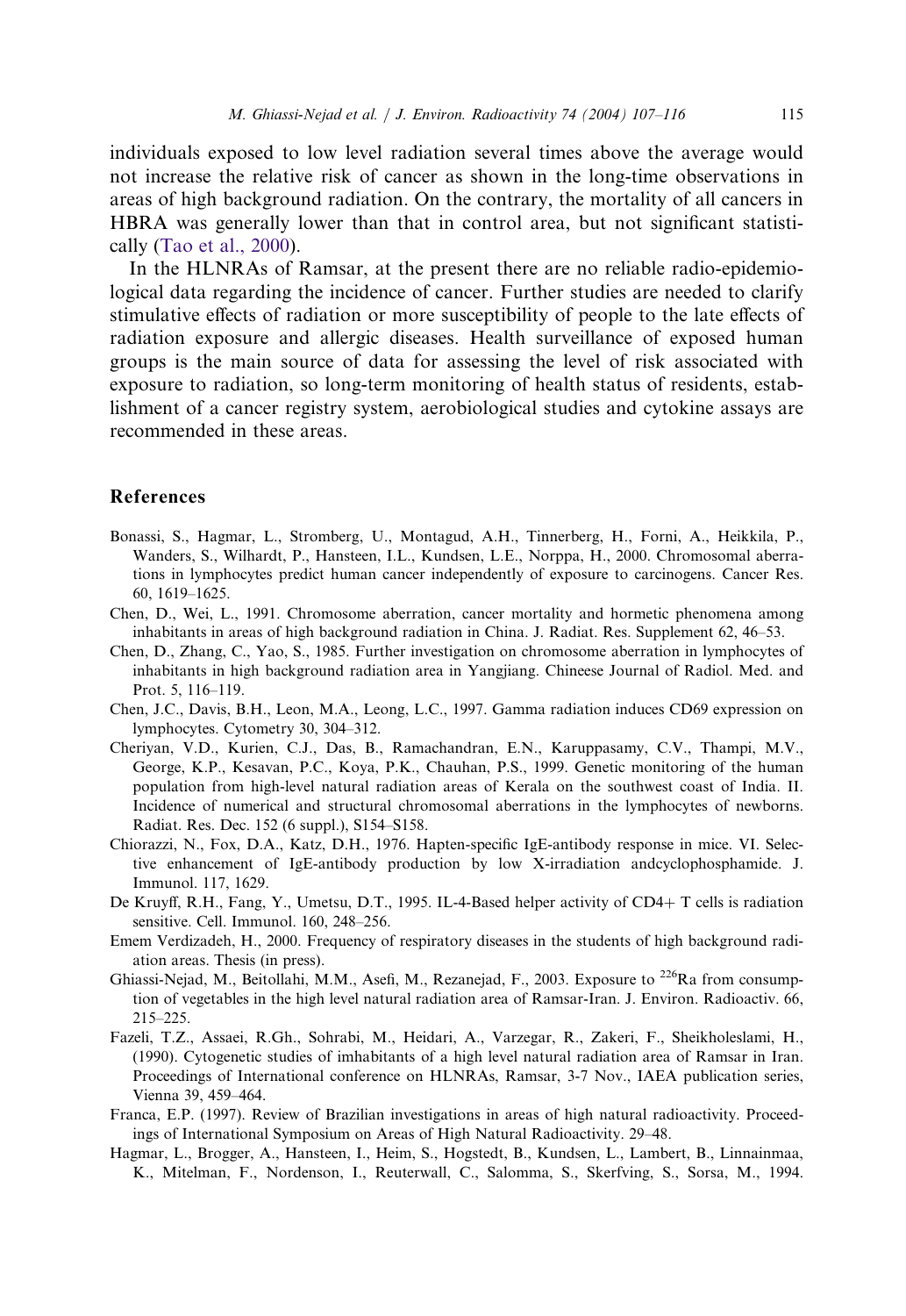individuals exposed to low level radiation several times above the average would not increase the relative risk of cancer as shown in the long-time observations in areas of high background radiation. On the contrary, the mortality of all cancers in HBRA was generally lower than that in control area, but not significant statistically ([Tao et al., 2000\)](#page-9-0).

In the HLNRAs of Ramsar, at the present there are no reliable radio-epidemiological data regarding the incidence of cancer. Further studies are needed to clarify stimulative effects of radiation or more susceptibility of people to the late effects of radiation exposure and allergic diseases. Health surveillance of exposed human groups is the main source of data for assessing the level of risk associated with exposure to radiation, so long-term monitoring of health status of residents, establishment of a cancer registry system, aerobiological studies and cytokine assays are recommended in these areas.

# References

- Bonassi, S., Hagmar, L., Stromberg, U., Montagud, A.H., Tinnerberg, H., Forni, A., Heikkila, P., Wanders, S., Wilhardt, P., Hansteen, I.L., Kundsen, L.E., Norppa, H., 2000. Chromosomal aberrations in lymphocytes predict human cancer independently of exposure to carcinogens. Cancer Res. 60, 1619–1625.
- Chen, D., Wei, L., 1991. Chromosome aberration, cancer mortality and hormetic phenomena among inhabitants in areas of high background radiation in China. J. Radiat. Res. Supplement 62, 46–53.
- Chen, D., Zhang, C., Yao, S., 1985. Further investigation on chromosome aberration in lymphocytes of inhabitants in high background radiation area in Yangjiang. Chineese Journal of Radiol. Med. and Prot. 5, 116–119.
- Chen, J.C., Davis, B.H., Leon, M.A., Leong, L.C., 1997. Gamma radiation induces CD69 expression on lymphocytes. Cytometry 30, 304–312.
- Cheriyan, V.D., Kurien, C.J., Das, B., Ramachandran, E.N., Karuppasamy, C.V., Thampi, M.V., George, K.P., Kesavan, P.C., Koya, P.K., Chauhan, P.S., 1999. Genetic monitoring of the human population from high-level natural radiation areas of Kerala on the southwest coast of India. II. Incidence of numerical and structural chromosomal aberrations in the lymphocytes of newborns. Radiat. Res. Dec. 152 (6 suppl.), S154–S158.
- Chiorazzi, N., Fox, D.A., Katz, D.H., 1976. Hapten-specific IgE-antibody response in mice. VI. Selective enhancement of IgE-antibody production by low X-irradiation andcyclophosphamide. J. Immunol. 117, 1629.
- De Kruyff, R.H., Fang, Y., Umetsu, D.T., 1995. IL-4-Based helper activity of CD4+ T cells is radiation sensitive. Cell. Immunol. 160, 248–256.
- Emem Verdizadeh, H., 2000. Frequency of respiratory diseases in the students of high background radiation areas. Thesis (in press).
- Ghiassi-Nejad, M., Beitollahi, M.M., Asefi, M., Rezanejad, F., 2003. Exposure to <sup>226</sup>Ra from consumption of vegetables in the high level natural radiation area of Ramsar-Iran. J. Environ. Radioactiv. 66, 215–225.
- Fazeli, T.Z., Assaei, R.Gh., Sohrabi, M., Heidari, A., Varzegar, R., Zakeri, F., Sheikholeslami, H., (1990). Cytogenetic studies of imhabitants of a high level natural radiation area of Ramsar in Iran. Proceedings of International conference on HLNRAs, Ramsar, 3-7 Nov., IAEA publication series, Vienna 39, 459–464.
- Franca, E.P. (1997). Review of Brazilian investigations in areas of high natural radioactivity. Proceedings of International Symposium on Areas of High Natural Radioactivity. 29–48.
- <span id="page-8-0"></span>Hagmar, L., Brogger, A., Hansteen, I., Heim, S., Hogstedt, B., Kundsen, L., Lambert, B., Linnainmaa, K., Mitelman, F., Nordenson, I., Reuterwall, C., Salomma, S., Skerfving, S., Sorsa, M., 1994.